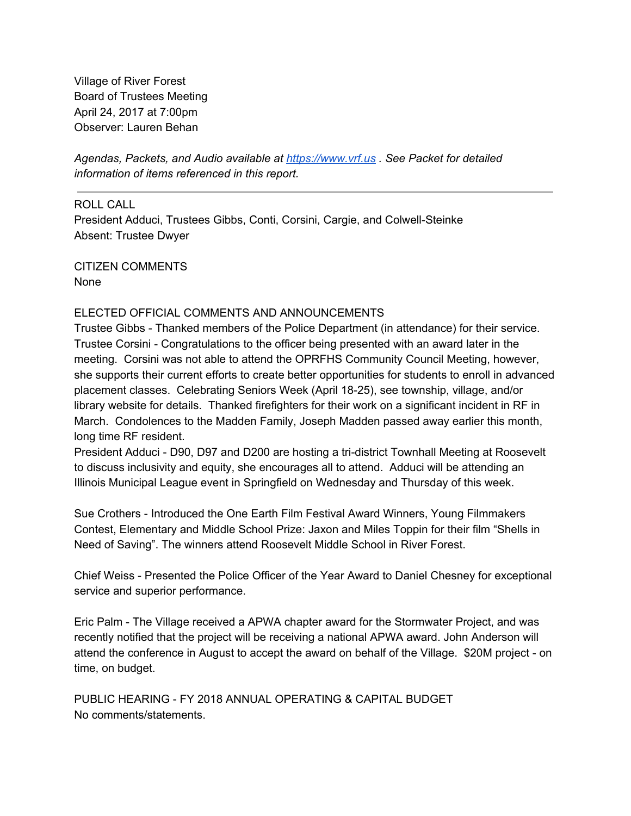Village of River Forest Board of Trustees Meeting April 24, 2017 at 7:00pm Observer: Lauren Behan

*Agendas, Packets, and Audio available at [https://www.vrf.us](https://www.vrf.us/) . See Packet for detailed information of items referenced in this report.*

### ROLL CALL

President Adduci, Trustees Gibbs, Conti, Corsini, Cargie, and Colwell-Steinke Absent: Trustee Dwyer

CITIZEN COMMENTS None

# ELECTED OFFICIAL COMMENTS AND ANNOUNCEMENTS

Trustee Gibbs - Thanked members of the Police Department (in attendance) for their service. Trustee Corsini - Congratulations to the officer being presented with an award later in the meeting. Corsini was not able to attend the OPRFHS Community Council Meeting, however, she supports their current efforts to create better opportunities for students to enroll in advanced placement classes. Celebrating Seniors Week (April 18-25), see township, village, and/or library website for details. Thanked firefighters for their work on a significant incident in RF in March. Condolences to the Madden Family, Joseph Madden passed away earlier this month, long time RF resident.

President Adduci - D90, D97 and D200 are hosting a tri-district Townhall Meeting at Roosevelt to discuss inclusivity and equity, she encourages all to attend. Adduci will be attending an Illinois Municipal League event in Springfield on Wednesday and Thursday of this week.

Sue Crothers - Introduced the One Earth Film Festival Award Winners, Young Filmmakers Contest, Elementary and Middle School Prize: Jaxon and Miles Toppin for their film "Shells in Need of Saving". The winners attend Roosevelt Middle School in River Forest.

Chief Weiss - Presented the Police Officer of the Year Award to Daniel Chesney for exceptional service and superior performance.

Eric Palm - The Village received a APWA chapter award for the Stormwater Project, and was recently notified that the project will be receiving a national APWA award. John Anderson will attend the conference in August to accept the award on behalf of the Village. \$20M project - on time, on budget.

PUBLIC HEARING - FY 2018 ANNUAL OPERATING & CAPITAL BUDGET No comments/statements.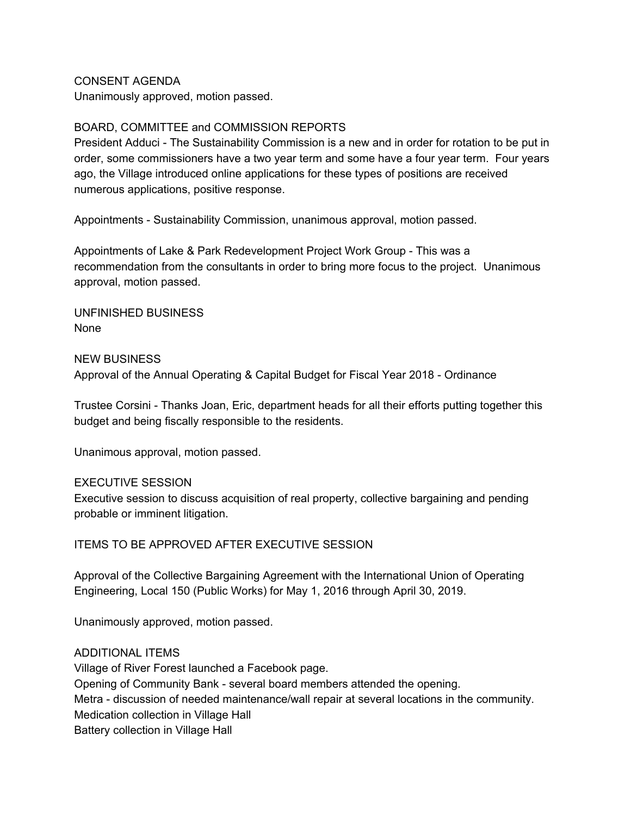## CONSENT AGENDA

Unanimously approved, motion passed.

## BOARD, COMMITTEE and COMMISSION REPORTS

President Adduci - The Sustainability Commission is a new and in order for rotation to be put in order, some commissioners have a two year term and some have a four year term. Four years ago, the Village introduced online applications for these types of positions are received numerous applications, positive response.

Appointments - Sustainability Commission, unanimous approval, motion passed.

Appointments of Lake & Park Redevelopment Project Work Group - This was a recommendation from the consultants in order to bring more focus to the project. Unanimous approval, motion passed.

UNFINISHED BUSINESS None

NEW BUSINESS Approval of the Annual Operating & Capital Budget for Fiscal Year 2018 - Ordinance

Trustee Corsini - Thanks Joan, Eric, department heads for all their efforts putting together this budget and being fiscally responsible to the residents.

Unanimous approval, motion passed.

# EXECUTIVE SESSION

Executive session to discuss acquisition of real property, collective bargaining and pending probable or imminent litigation.

#### ITEMS TO BE APPROVED AFTER EXECUTIVE SESSION

Approval of the Collective Bargaining Agreement with the International Union of Operating Engineering, Local 150 (Public Works) for May 1, 2016 through April 30, 2019.

Unanimously approved, motion passed.

#### ADDITIONAL ITEMS

Village of River Forest launched a Facebook page. Opening of Community Bank - several board members attended the opening. Metra - discussion of needed maintenance/wall repair at several locations in the community. Medication collection in Village Hall Battery collection in Village Hall